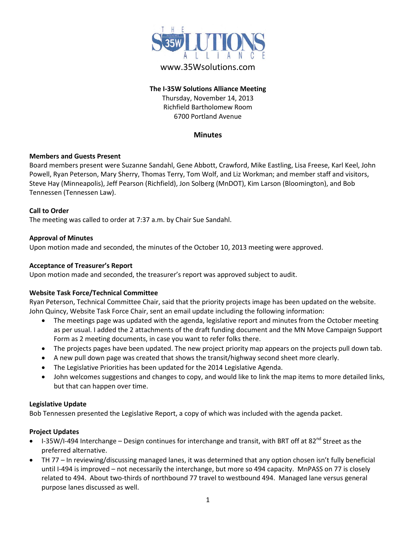

# www.35Wsolutions.com

# **The I-35W Solutions Alliance Meeting**

Thursday, November 14, 2013 Richfield Bartholomew Room 6700 Portland Avenue

### **Minutes**

#### **Members and Guests Present**

Board members present were Suzanne Sandahl, Gene Abbott, Crawford, Mike Eastling, Lisa Freese, Karl Keel, John Powell, Ryan Peterson, Mary Sherry, Thomas Terry, Tom Wolf, and Liz Workman; and member staff and visitors, Steve Hay (Minneapolis), Jeff Pearson (Richfield), Jon Solberg (MnDOT), Kim Larson (Bloomington), and Bob Tennessen (Tennessen Law).

# **Call to Order**

The meeting was called to order at 7:37 a.m. by Chair Sue Sandahl.

# **Approval of Minutes**

Upon motion made and seconded, the minutes of the October 10, 2013 meeting were approved.

# **Acceptance of Treasurer's Report**

Upon motion made and seconded, the treasurer's report was approved subject to audit.

#### **Website Task Force/Technical Committee**

Ryan Peterson, Technical Committee Chair, said that the priority projects image has been updated on the website. John Quincy, Website Task Force Chair, sent an email update including the following information:

- The meetings page was updated with the agenda, legislative report and minutes from the October meeting as per usual. I added the 2 attachments of the draft funding document and the MN Move Campaign Support Form as 2 meeting documents, in case you want to refer folks there.
- The projects pages have been updated. The new project priority map appears on the projects pull down tab.
- A new pull down page was created that shows the transit/highway second sheet more clearly.
- The Legislative Priorities has been updated for the 2014 Legislative Agenda.
- John welcomes suggestions and changes to copy, and would like to link the map items to more detailed links, but that can happen over time.

#### **Legislative Update**

Bob Tennessen presented the Legislative Report, a copy of which was included with the agenda packet.

# **Project Updates**

- I-35W/I-494 Interchange Design continues for interchange and transit, with BRT off at 82<sup>nd</sup> Street as the preferred alternative.
- TH 77 In reviewing/discussing managed lanes, it was determined that any option chosen isn't fully beneficial until I-494 is improved – not necessarily the interchange, but more so 494 capacity. MnPASS on 77 is closely related to 494. About two-thirds of northbound 77 travel to westbound 494. Managed lane versus general purpose lanes discussed as well.